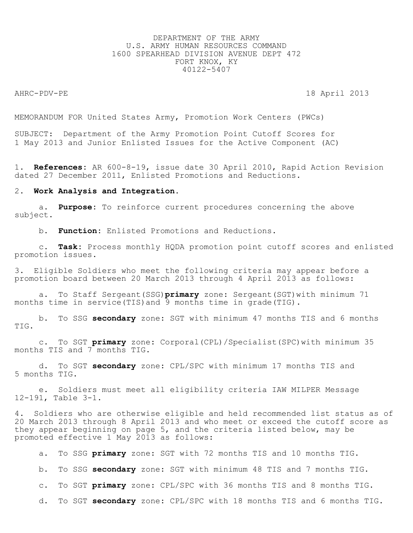# DEPARTMENT OF THE ARMY U.S. ARMY HUMAN RESOURCES COMMAND 1600 SPEARHEAD DIVISION AVENUE DEPT 472 FORT KNOX, KY 40122-5407

AHRC-PDV-PE 18 April 2013

MEMORANDUM FOR United States Army, Promotion Work Centers (PWCs)

SUBJECT: Department of the Army Promotion Point Cutoff Scores for 1 May 2013 and Junior Enlisted Issues for the Active Component (AC)

1. **References:** AR 600-8-19, issue date 30 April 2010, Rapid Action Revision dated 27 December 2011, Enlisted Promotions and Reductions.

### 2. **Work Analysis and Integration.**

 a. **Purpose:** To reinforce current procedures concerning the above subject.

b. **Function:** Enlisted Promotions and Reductions.

 c. **Task:** Process monthly HQDA promotion point cutoff scores and enlisted promotion issues.

3. Eligible Soldiers who meet the following criteria may appear before a promotion board between 20 March 2013 through 4 April 2013 as follows:

 a. To Staff Sergeant(SSG)**primary** zone: Sergeant(SGT)with minimum 71 months time in service(TIS)and 9 months time in grade(TIG).

 b. To SSG **secondary** zone: SGT with minimum 47 months TIS and 6 months TIG.

 c. To SGT **primary** zone: Corporal(CPL)/Specialist(SPC)with minimum 35 months TIS and 7 months TIG.

 d. To SGT **secondary** zone: CPL/SPC with minimum 17 months TIS and 5 months TIG.

 e. Soldiers must meet all eligibility criteria IAW MILPER Message 12-191, Table 3-1.

4. Soldiers who are otherwise eligible and held recommended list status as of 20 March 2013 through 8 April 2013 and who meet or exceed the cutoff score as they appear beginning on page 5, and the criteria listed below, may be promoted effective 1 May 2013 as follows:

a. To SSG **primary** zone: SGT with 72 months TIS and 10 months TIG.

b. To SSG **secondary** zone: SGT with minimum 48 TIS and 7 months TIG.

c. To SGT **primary** zone: CPL/SPC with 36 months TIS and 8 months TIG.

d. To SGT **secondary** zone: CPL/SPC with 18 months TIS and 6 months TIG.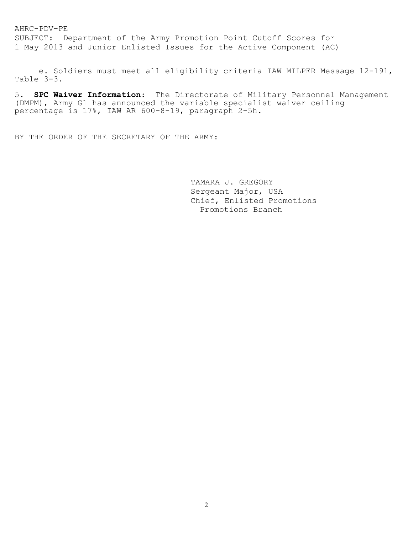SUBJECT: Department of the Army Promotion Point Cutoff Scores for 1 May 2013 and Junior Enlisted Issues for the Active Component (AC)

 e. Soldiers must meet all eligibility criteria IAW MILPER Message 12-191, Table 3-3.

5. **SPC Waiver Information**: The Directorate of Military Personnel Management (DMPM), Army G1 has announced the variable specialist waiver ceiling percentage is 17%, IAW AR 600-8-19, paragraph 2-5h.

BY THE ORDER OF THE SECRETARY OF THE ARMY:

 TAMARA J. GREGORY Sergeant Major, USA Chief, Enlisted Promotions Promotions Branch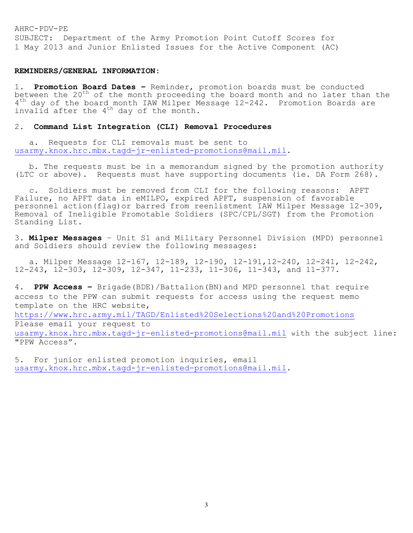AHRC-PDV-PE SUBJECT: Department of the Army Promotion Point Cutoff Scores for 1 May 2013 and Junior Enlisted Issues for the Active Component (AC)

# **REMINDERS/GENERAL INFORMATION:**

1. **Promotion Board Dates –** Reminder, promotion boards must be conducted between the 20<sup>th</sup> of the month proceeding the board month and no later than the 4<sup>th</sup> day of the board month IAW Milper Message 12-242. Promotion Boards are invalid after the  $4^{th}$  day of the month.

# 2. **Command List Integration (CLI) Removal Procedures**

 a. Requests for CLI removals must be sent to [usarmy.knox.hrc.mbx.tagd-jr-enlisted-promotions@mail.mil.](mailto:usarmy.knox.hrc.mbx.tagd-jr-enlisted-promotions@mail.mil)

 b. The requests must be in a memorandum signed by the promotion authority (LTC or above). Requests must have supporting documents (ie. DA Form 268).

 c. Soldiers must be removed from CLI for the following reasons: APFT Failure, no APFT data in eMILPO, expired APFT, suspension of favorable personnel action(flag)or barred from reenlistment IAW Milper Message 12-309, Removal of Ineligible Promotable Soldiers (SPC/CPL/SGT) from the Promotion Standing List.

3. **Milper Messages** – Unit S1 and Military Personnel Division (MPD) personnel and Soldiers should review the following messages:

 a. Milper Message 12-167, 12-189, 12-190, 12-191,12-240, 12-241, 12-242, 12-243, 12-303, 12-309, 12-347, 11-233, 11-306, 11-343, and 11-377.

4. **PPW Access –** Brigade(BDE)/Battalion(BN)and MPD personnel that require access to the PPW can submit requests for access using the request memo template on the HRC website, <https://www.hrc.army.mil/TAGD/Enlisted%20Selections%20and%20Promotions> Please email your request to [usarmy.knox.hrc.mbx.tagd-jr-enlisted-promotions@mail.mil](mailto:usarmy.knox.hrc.mbx.tagd-jr-enlisted-promotions@mail.mil) with the subject line: "PPW Access".

5. For junior enlisted promotion inquiries, email [usarmy.knox.hrc.mbx.tagd-jr-enlisted-promotions@mail.mil.](mailto:usarmy.knox.hrc.mbx.tagd-jr-enlisted-promotions@mail.mil)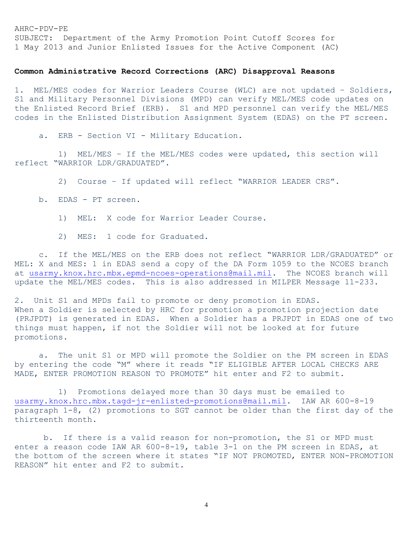SUBJECT: Department of the Army Promotion Point Cutoff Scores for 1 May 2013 and Junior Enlisted Issues for the Active Component (AC)

# **Common Administrative Record Corrections (ARC) Disapproval Reasons**

1. MEL/MES codes for Warrior Leaders Course (WLC) are not updated – Soldiers, S1 and Military Personnel Divisions (MPD) can verify MEL/MES code updates on the Enlisted Record Brief (ERB). S1 and MPD personnel can verify the MEL/MES codes in the Enlisted Distribution Assignment System (EDAS) on the PT screen.

a. ERB - Section VI - Military Education.

 1) MEL/MES – If the MEL/MES codes were updated, this section will reflect "WARRIOR LDR/GRADUATED".

2) Course – If updated will reflect "WARRIOR LEADER CRS".

- b. EDAS PT screen.
	- 1) MEL: X code for Warrior Leader Course.
	- 2) MES: 1 code for Graduated.

 c. If the MEL/MES on the ERB does not reflect "WARRIOR LDR/GRADUATED" or MEL: X and MES: 1 in EDAS send a copy of the DA Form 1059 to the NCOES branch at [usarmy.knox.hrc.mbx.epmd-ncoes-operations@mail.mil.](mailto:usarmy.knox.hrc.mbx.epmd-ncoes-operations@mail.mil) The NCOES branch will update the MEL/MES codes. This is also addressed in MILPER Message 11-233.

2. Unit S1 and MPDs fail to promote or deny promotion in EDAS. When a Soldier is selected by HRC for promotion a promotion projection date (PRJPDT) is generated in EDAS. When a Soldier has a PRJPDT in EDAS one of two things must happen, if not the Soldier will not be looked at for future promotions.

 a. The unit S1 or MPD will promote the Soldier on the PM screen in EDAS by entering the code "M" where it reads "IF ELIGIBLE AFTER LOCAL CHECKS ARE MADE, ENTER PROMOTION REASON TO PROMOTE" hit enter and F2 to submit.

 1) Promotions delayed more than 30 days must be emailed to [usarmy.knox.hrc.mbx.tagd-jr-enlisted-promotions@mail.mil.](mailto:usarmy.knox.hrc.mbx.tagd-jr-enlisted-promotions@mail.mil) IAW AR 600-8-19 paragraph 1-8, (2) promotions to SGT cannot be older than the first day of the thirteenth month.

 b. If there is a valid reason for non-promotion, the S1 or MPD must enter a reason code IAW AR 600-8-19, table 3-1 on the PM screen in EDAS, at the bottom of the screen where it states "IF NOT PROMOTED, ENTER NON-PROMOTION REASON" hit enter and F2 to submit.

4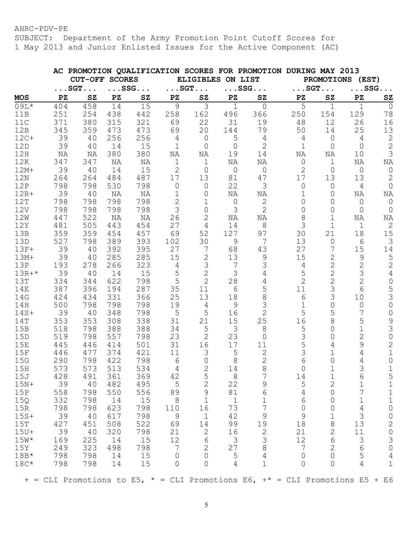SUBJECT: Department of the Army Promotion Point Cutoff Scores for 1 May 2013 and Junior Enlisted Issues for the Active Component (AC)

|            |     |                       |     |                       |                         |                              |                | AC PROMOTION QUALIFICATION SCORES FOR PROMOTION DURING MAY 2013              |                        |                |                       |                |
|------------|-----|-----------------------|-----|-----------------------|-------------------------|------------------------------|----------------|------------------------------------------------------------------------------|------------------------|----------------|-----------------------|----------------|
|            |     | <b>CUT-OFF SCORES</b> |     |                       |                         | ELIGIBLES ON LIST            |                |                                                                              |                        |                | PROMOTIONS (EST)      |                |
|            |     | $\ldots$ SGT $\ldots$ |     | $\ldots$ SSG $\ldots$ |                         | $\ldots$ SGT $\ldots$        |                | $\ldots$ SSG. $\ldots$                                                       | $\ldots$ SGT. $\ldots$ |                | $\ldots$ SSG $\ldots$ |                |
| <b>MOS</b> | PZ  | SZ                    | PZ  | ${\bf SZ}$            | $\mathbf{P} \mathbf{Z}$ | SZ                           | PZ             | ${\tt SZ}$                                                                   | PZ                     | SZ             | ${\bf P}{\bf Z}$      | SZ             |
| 09L*       | 404 | 458                   | 14  | 15                    | 9                       | 3                            | $\mathbf 1$    | $\overline{0}$                                                               | 5                      | $\mathbf 1$    | $\mathbf{1}$          | $\overline{0}$ |
| 11B        | 251 | 254                   | 438 | 442                   | 258                     | 162                          | 496            | 366                                                                          | 250                    | 154            | 129                   | 78             |
| 11C        | 371 | 380                   | 315 | 321                   | 69                      | 22                           | 31             | 19                                                                           | 48                     | 12             | 26                    | 16             |
| 12B        | 345 | 359                   | 473 | 473                   | 69                      | 20                           | 144            | 79                                                                           | 50                     | 14             | 25                    | 13             |
| $12C+$     | 39  | 40                    | 256 | 256                   | 4                       | $\overline{0}$               | 5              | 4                                                                            | 4                      | 0              | 4                     | $\mathbf{2}$   |
| 12D        | 39  | 40                    | 14  | 15                    | 1                       | 0                            | $\overline{0}$ | $\mathbf{2}$                                                                 | 1                      | 0              | $\overline{0}$        | $\sqrt{2}$     |
| 12H        | ΝA  | ΝA                    | 380 | 380                   | ΝA                      | ΝA                           | 19             | 14                                                                           | ΝA                     | ΝA             | 10                    | 3              |
| 12K        | 347 | 347                   | ΝA  | ΝA                    | 1                       | $\mathbf{1}$                 | ΝA             | ΝA                                                                           | 0                      | 1              | ΝA                    | ΝA             |
| $12M+$     | 39  | 40                    | 14  | 15                    | $\mathbf 2$             | $\overline{0}$               | 0              | $\circ$                                                                      | $\mathbf{2}$           | 0              | $\overline{0}$        | $\circ$        |
| 12N        | 264 | 264                   | 484 | 487                   | 17                      | 13                           | 81             | 47                                                                           | 17                     | 13             | 13                    | $\mathbf 2$    |
| 12P        | 798 | 798                   | 530 | 798                   | $\overline{0}$          | 0                            | 22             | 3                                                                            | 0                      | 0              | 4                     | $\circ$        |
| $12R+$     | 39  | 40                    | ΝA  | ΝA                    | 1                       | 0                            | ΝA             | ΝA                                                                           | 1                      | 0              | ΝA                    | ΝA             |
| 12T        | 798 | 798                   | 798 | 798                   | $\overline{2}$          | 1                            | $\circ$        | 2                                                                            | $\Omega$               | 0              | 0                     | 0              |
| 12V        | 798 | 798                   | 798 | 798                   | 3                       | 0                            | 3              | $\overline{2}$                                                               | 0                      | 0              | 0                     | $\overline{0}$ |
| 12W        | 447 | 522                   | NA  | NA                    | 26                      | $\mathbf{2}$                 | ΝA             | ΝA                                                                           | 8                      | $\mathbf 1$    | ΝA                    | ΝA             |
| 12Y        | 481 | 505                   | 443 | 454                   | 27                      | $\overline{4}$               | 14             | $8\,$                                                                        | 3                      | $\mathbf 1$    | $\mathbf 1$           | $\mathbf{2}$   |
| 13B        | 359 | 359                   | 454 | 457                   | 69                      | 52                           | 127            | 97                                                                           | 30                     | 21             | 18                    | 15             |
| 13D        | 527 | 798                   | 389 | 393                   | 102                     | 30                           | 9              | 7                                                                            | 13                     | $\mathsf{O}$   | 6                     | $\mathcal{S}$  |
| $13F+$     | 39  | 40                    | 392 | 395                   | 27                      | 7                            | 68             | 43                                                                           | 27                     | 7              | 15                    | 14             |
| $13M+$     | 39  | 40                    | 285 | 285                   | 15                      | $\mathbf 2$                  | 13             | 9                                                                            | 15                     | $\mathbf{2}$   | 9                     | $\overline{5}$ |
| 13P        | 193 | 278                   | 266 | 323                   | 4                       | 3                            | 7              | 3                                                                            | 4                      | $\mathbf{2}$   | $\mathbf{2}$          | $\mathbf{2}$   |
| $13R+*$    | 39  | 40                    | 14  | 15                    | 5                       | $\mathbf{2}$                 | 3              | 4                                                                            | 5                      | $\overline{2}$ | 3                     | $\sqrt{4}$     |
| 13T        | 334 | 344                   | 622 | 798                   | 5                       | $\mathbf{2}$                 | 28             | 4                                                                            | $\overline{2}$         | $\overline{2}$ | $\overline{2}$        | $\mathsf{O}$   |
| 14E        | 387 | 396                   | 194 | 287                   | 35                      | 11                           | $6\,$          | 5                                                                            | 11                     | 3              | 6                     | 5              |
| 14G        | 424 | 434                   | 331 | 366                   | 25                      | 13                           | 18             | 8                                                                            | 6                      | 3              | 10                    | 3              |
| 14H        | 500 | 798                   | 798 | 798                   | 19                      | 4                            | 9              | 3                                                                            | 1                      | 0              | 0                     | $\mathsf O$    |
| $14S+$     | 39  | 40                    | 348 | 798                   | 5                       | 5                            | 16             | 2                                                                            | 5                      | 5              | 7                     | $\mathsf O$    |
| 14T        | 353 | 353                   | 308 | 338                   | 31                      | 21                           | 15             | 25                                                                           | 16                     | 8              | 5                     |                |
| 15B        | 518 | 798                   | 388 | 388                   | 34                      | 5                            | 3              | 8                                                                            | 5                      | 0              | $\mathbf 1$           | $\frac{9}{3}$  |
| 15D        | 519 | 798                   | 557 | 798                   | 23                      | $\mathbf{2}$                 | 23             | 0                                                                            | 3                      | 0              | $\overline{2}$        | $\mathbf 0$    |
| 15E        | 445 | 446                   | 414 | 501                   | 31                      | 16                           | 17             | 11                                                                           | 5                      | 4              | 9                     | $\overline{c}$ |
| 15F        | 446 | 477                   | 374 | 421                   | 11                      | $\mathcal{S}$                | 5              | 2                                                                            | 3                      | 1              | 4                     | $\mathbf 1$    |
| 15G        | 290 | 798                   | 422 | 798                   | 6                       | $\mathsf{O}$                 | 8              | $\overline{2}$                                                               | 6                      | 0              | 4                     | $\mathsf O$    |
| 15H        | 573 | 573                   | 513 | 534                   | 4                       | $\mathbf{2}$                 | 14             | 8                                                                            | 0                      |                | ς                     |                |
| 15J        | 428 | 491                   | 361 | 369                   | 42                      | 5                            | 8              | 7                                                                            | 14                     | 1              | 6                     | 5              |
| $15N+$     | 39  | 40                    | 482 | 495                   | 5                       | $\mathbf{2}$                 | 22             | 9                                                                            | 5                      | 2              |                       | $1\,$          |
| 15P        | 558 | 798                   | 550 | 556                   | 89                      | $\mathsf 9$                  | 81             | 6                                                                            | 4                      | 0              | 7                     | $1\,$          |
| 15Q        | 332 | 798                   | 14  | 15                    | $8\,$                   | $1\,$                        | $\mathbf{1}$   | 1                                                                            | 6                      | 0              | 1                     | $1\,$          |
| 15R        | 798 | 798                   | 623 | 798                   | 110                     | 16                           | 73             | 7                                                                            | $\overline{0}$         | 0              | 4                     | $\overline{0}$ |
| $15S+$     | 39  | 40                    | 617 | 798                   | 9                       | $\mathbf{1}$                 | 42             | $\mathsf 9$                                                                  | 9                      | 1              | 3                     | $\circ$        |
| 15T        | 427 | 451                   | 508 | 522                   | 69                      | 14                           | 99             | 19                                                                           | 18                     | 8              | 13                    | $\sqrt{2}$     |
| $15U+$     | 39  | 40                    | 320 | 798                   | 21                      |                              |                | $\overline{2}$                                                               |                        | 2              | 11                    | $\mathbb O$    |
|            |     |                       |     |                       |                         | $\mathbf{2}$                 | 16             |                                                                              | 21                     |                |                       |                |
| $15W*$     | 169 | 225                   | 14  | 15                    | 12                      | $\sqrt{6}$                   | $\mathcal{S}$  | 3                                                                            | 12                     | 6              | $\mathfrak{Z}$        | $\mathfrak{Z}$ |
| 15Y        | 249 | 323                   | 498 | 798                   | 7                       | $\sqrt{2}$<br>$\overline{0}$ | 27             | $8\,$<br>$\overline{4}$                                                      | $7\phantom{.0}$        | 2              | 6<br>5                | $\mathbb O$    |
| $18B*$     | 798 | 798                   | 14  | 15                    | $\overline{0}$          |                              | 5              | $\mathbf 1$                                                                  | 0                      | 0              |                       | $\overline{4}$ |
| $18C*$     | 798 | 798                   | 14  | 15                    | $\Omega$                | $\overline{0}$               | 4              |                                                                              | 0                      | 0              | 4                     | $\mathbf 1$    |
|            |     |                       |     |                       |                         |                              |                | + = CLI Promotions to E5, * = CLI Promotions E6, +* = CLI Promotions E5 + E6 |                        |                |                       |                |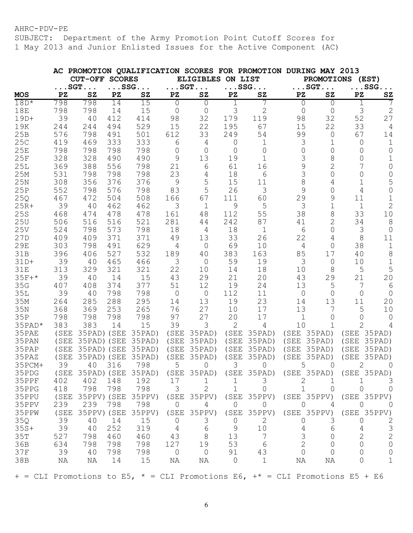SUBJECT: Department of the Army Promotion Point Cutoff Scores for 1 May 2013 and Junior Enlisted Issues for the Active Component (AC)

|                                                                                           |      |                       |                  |                         |                  |                        |                  | AC PROMOTION QUALIFICATION SCORES FOR PROMOTION DURING MAY 2013 |                  |                |                  |                        |
|-------------------------------------------------------------------------------------------|------|-----------------------|------------------|-------------------------|------------------|------------------------|------------------|-----------------------------------------------------------------|------------------|----------------|------------------|------------------------|
|                                                                                           |      | <b>CUT-OFF SCORES</b> |                  |                         |                  | <b>ELIGIBLES</b>       | ON LIST          |                                                                 |                  |                | PROMOTIONS (EST) |                        |
|                                                                                           |      | $\ldots$ SGT $\ldots$ |                  | $\ldots$ SSG $\ldots$   |                  | $\ldots$ SGT. $\ldots$ |                  | $\ldots$ SSG                                                    |                  | $\ldots$ SGT   |                  | $\ldots$ SSG $\ldots$  |
| <b>MOS</b>                                                                                | PZ   | SZ                    | ${\bf P}{\bf Z}$ | ${\bf SZ}$              | ${\bf P}{\bf Z}$ | SZ                     | ${\bf P}{\bf Z}$ | SZ                                                              | ${\bf P}{\bf Z}$ | ${\tt SZ}$     | ${\bf P}{\bf Z}$ | $\mathbf{S}\mathbf{Z}$ |
| $18D*$                                                                                    | 798  | 798                   | 14               | 15                      | $\Omega$         | 0                      | 1                |                                                                 | $\Omega$         | $\Omega$       |                  |                        |
| <b>18E</b>                                                                                | 798  | 798                   | 14               | 15                      | $\Omega$         | $\circ$                | 3                | $\mathbf{2}$                                                    | 0                | 0              | 3                | $\mathbf{2}$           |
| $19D+$                                                                                    | 39   | 40                    | 412              | 414                     | 98               | 32                     | 179              | 119                                                             | 98               | 32             | 52               | 27                     |
| 19K                                                                                       | 244  | 244                   | 494              | 529                     | 15               | 22                     | 195              | 67                                                              | 15               | 22             | 33               | 4                      |
| 25B                                                                                       | 576  | 798                   | 491              | 501                     | 612              | 33                     | 249              | 54                                                              | 99               | 0              | 67               | 14                     |
| 25C                                                                                       | 419  | 469                   | 333              | 333                     | 6                | 4                      | 0                | 1                                                               | 3                | 1              | $\overline{0}$   | $\mathbf 1$            |
| 25E                                                                                       | 798  | 798                   | 798              | 798                     | $\mathbf 0$      | $\mathcal{O}$          | $\Omega$         | $\Omega$                                                        | 0                | 0              | $\Omega$         | $\mathbf 0$            |
| 25F                                                                                       | 328  | 328                   | 490              | 490                     | 9                | 13                     | 19               | 1                                                               | 3                | 8              | 0                | $\mathbf 1$            |
| 25L                                                                                       | 369  | 388                   | 556              | 798                     | 21               | 6                      | 61               | 16                                                              | 9                | $\overline{2}$ | 7                | $\mathbf 0$            |
| 25M                                                                                       | 531  | 798                   | 798              | 798                     | 23               | 4                      | 18               | 6                                                               | 3                | $\overline{0}$ | $\overline{0}$   | $\mathsf{O}\xspace$    |
| 25N                                                                                       | 308  | 356                   | 376              | 376                     | 9                | 5                      | 15               | 11                                                              | 8                | 4              | 1                | 5                      |
| 25P                                                                                       | 552  | 798                   | 576              | 798                     | 83               | 5                      | 26               | 3                                                               | 9                | 0              | 4                | $\overline{O}$         |
| 25Q                                                                                       | 467  | 472                   | 504              | 508                     | 166              | 67                     | 111              | 60                                                              | 29               | 9              | 11               | $1\,$                  |
| $25R+$                                                                                    | 39   | 40                    | 462              | 462                     | 3                | $\mathbf 1$            | 9                | 5                                                               | 3                | $\mathbf 1$    | $\mathbf 1$      | $\overline{2}$         |
| 25S                                                                                       | 468  | 474                   | 478              | 478                     | 161              | 48                     | 112              | 55                                                              | 38               | 8              | 33               | 10                     |
| 25U                                                                                       | 506  | 516                   | 516              | 521                     | 281              | 44                     | 242              | 87                                                              | 41               | $\overline{2}$ | 34               | 8                      |
| 25V                                                                                       | 524  | 798                   | 573              | 798                     | 18               | 4                      | 18               | 1                                                               | 6                | 0              | 3                | $\overline{0}$         |
| 27D                                                                                       | 409  | 409                   | 371              | 371                     | 49               | 13                     | 33               | 26                                                              | 22               | 4              | 8                | 11                     |
| 29E                                                                                       | 303  | 798                   | 491              | 629                     | 4                | $\circ$                | 69               | 10                                                              | 4                | $\mathbf 0$    | 38               | $\mathbf 1$            |
| 31B                                                                                       | 396  | 406                   | 527              | 532                     | 189              | 40                     | 383              | 163                                                             | 85               | 17             | 40               | $\,8\,$                |
| $31D+$                                                                                    | 39   | 40                    | 465              | 466                     | 3                | $\circ$                | 59               | 19                                                              | 3                | 0              | 10               | $1\,$                  |
| <b>31E</b>                                                                                | 313  | 329                   | 321              | 321                     | 22               | 10                     | 14               | 18                                                              | 10               | 8              | 5                | 5                      |
| $35F+*$                                                                                   | 39   | 40                    | 14               | 15                      | 43               | 29                     | 21               | 20                                                              | 43               | 29             | 21               | 20                     |
| 35G                                                                                       | 407  | 408                   | 374              | 377                     | 51               | 12                     | 19               | 24                                                              | 13               | 5              | 7                | 6                      |
| 35L                                                                                       | 39   | 40                    | 798              | 798                     | $\overline{0}$   | $\circ$                | 112              | 11                                                              | $\mathsf{O}$     | $\overline{0}$ | $\mathbf 0$      | $\overline{0}$         |
| 35M                                                                                       | 264  | 285                   | 288              | 295                     | 14               | 13                     | 19               | 23                                                              | 14               | 13             | 11               | 20                     |
| 35N                                                                                       | 368  | 369                   | 253              | 265                     | 76               | 27                     | 10               | 17                                                              | 13               | 7              | 5                | 10                     |
| 35P                                                                                       | 798  | 798                   | 798              | 798                     | 97               | 27                     | 20               | 17                                                              | 1                | 0              | ∩                | 0                      |
| 35PAD*                                                                                    | 383  | 383                   | 14               | 15                      | 39               | 3                      | 2                | $\overline{4}$                                                  | 10               | 1              | $\overline{2}$   | 4                      |
| 35PAE                                                                                     | (SEE | 35PAD) (SEE           |                  | 35PAD)                  | (SEE)            | 35PAD)                 | (SEE             | 35PAD)                                                          | (SEE             | 35PAD)         | (SEE             | 35PAD)                 |
| 35PAN                                                                                     | (SEE | 35PAD) (SEE           |                  | 35PAD)                  | (SEE)            | 35PAD)                 | (SEE             | 35PAD)                                                          | (SEE             | 35PAD)         | (SEE             | 35PAD)                 |
| 35PAP                                                                                     | (SEE | 35PAD) (SEE           |                  | 35PAD)                  | (SEE)            | 35PAD)                 | (SEE)            | 35PAD)                                                          | (SEE)            | 35PAD)         | (SEE             | 35PAD)                 |
| 35PAZ                                                                                     | (SEE | 35PAD)                | (SEE             | 35PAD)                  | (SEE)            | 35PAD)                 | (SEE             | 35PAD)                                                          | (SEE             | 35PAD)         | (SEE             | 35PAD)                 |
| 35PCM+                                                                                    | 39   | 40                    | 316              | 798                     | 5                | 0                      | 3                | 0                                                               | 5                | 0              | 2                | $\Omega$               |
| 35PDG                                                                                     |      |                       |                  | (SEE 35PAD) (SEE 35PAD) |                  | (SEE 35PAD)            |                  | (SEE 35PAD) (SEE 35PAD) (SEE 35PAD)                             |                  |                |                  |                        |
| 35PPF                                                                                     | 402  | 402                   | 148              | 192                     | 17               | 1                      | 1                | 3                                                               | 2                |                |                  | 3                      |
| 35PPG                                                                                     | 418  | 798                   | 798              | 798                     | 3                | $\overline{2}$         | 1                | $\Omega$                                                        | 1.               | $\Omega$       | 0                | $\Omega$               |
| 35PPU                                                                                     | (SEE | 35PPV) (SEE           |                  | 35PPV)                  |                  | (SEE 35PPV)            |                  | (SEE 35PPV)                                                     | (SEE 35PPV)      |                | (SEE 35PPV)      |                        |
| 35PPV                                                                                     | 239  | 239                   | 798              | 798                     | 0                | 4                      | 0                | 0                                                               | 0                | 4              | 0                | $\cup$                 |
| 35PPW                                                                                     | (SEE | 35PPV) (SEE           |                  | 35PPV)                  | (SEE             | 35PPV)                 |                  | (SEE 35PPV)                                                     | (SEE 35PPV)      |                | (SEE 35PPV)      |                        |
| 35Q                                                                                       | 39   | 40                    | 14               | 15                      | 0                | 3                      | 0                | 2                                                               | 0                | 3              | 0                | 2                      |
| $35S+$                                                                                    | 39   | 40                    | 252              | 319                     | 4                | 6                      | 9                | 10                                                              | 4                | 6              | 4                | $\mathfrak{Z}$         |
| 35T                                                                                       | 527  | 798                   | 460              | 460                     | 43               | $8\,$                  | 13               | 7                                                               | 3                | 0              | 2                | $\overline{c}$         |
| 36B                                                                                       | 634  | 798                   | 798              | 798                     | 127              | 19                     | 53               | 6                                                               | $\overline{2}$   | $\Omega$       | $\Omega$         | $\circ$                |
| 37F                                                                                       | 39   | 40                    | 798              | 798                     | 0                | 0                      | 91               | 43                                                              | $\Omega$         | $\cap$         | 0                | 0                      |
| 38B                                                                                       | ΝA   | ΝA                    | 14               | 15                      | ΝA               | ΝA                     | 0                | 1                                                               | ΝA               | ΝA             | 0                | $\mathbf 1$            |
| + = CLI Promotions to E5, $\star$ = CLI Promotions E6, + $\star$ = CLI Promotions E5 + E6 |      |                       |                  |                         |                  |                        |                  |                                                                 |                  |                |                  |                        |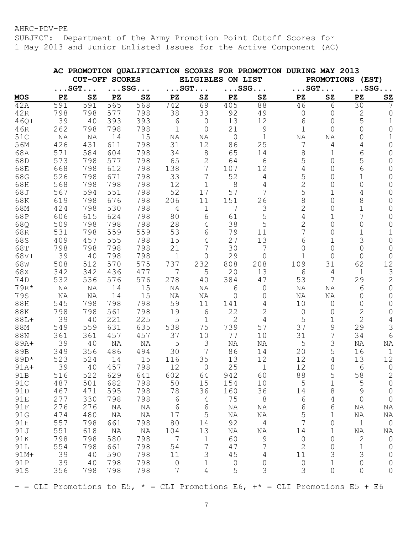SUBJECT: Department of the Army Promotion Point Cutoff Scores for 1 May 2013 and Junior Enlisted Issues for the Active Component (AC)

|            |     |                       |                       | AC PROMOTION QUALIFICATION SCORES FOR PROMOTION DURING MAY 2013 |                         |                       |                |                |                        |                |                       |                     |  |
|------------|-----|-----------------------|-----------------------|-----------------------------------------------------------------|-------------------------|-----------------------|----------------|----------------|------------------------|----------------|-----------------------|---------------------|--|
|            |     |                       | <b>CUT-OFF SCORES</b> |                                                                 |                         | ELIGIBLES ON LIST     |                |                | PROMOTIONS (EST)       |                |                       |                     |  |
|            |     | $\ldots$ SGT $\ldots$ |                       | $\ldots$ SSG. $\ldots$                                          |                         | $\ldots$ SGT $\ldots$ |                | $\ldots$ SSG   | $\ldots$ SGT. $\ldots$ |                | $\ldots$ SSG $\ldots$ |                     |  |
| <b>MOS</b> | PZ  | SZ                    | PZ                    | ${\bf SZ}$                                                      | $\mathbf{P} \mathbf{Z}$ | SZ                    | PZ             | SZ             | PZ                     | ${\tt SZ}$     | PZ                    | SZ                  |  |
| 42A        | 591 | 591                   | 565                   | 568                                                             | 742                     | 69                    | 405            | 88             | 46                     | 6              | 30                    | 7                   |  |
| 42R        | 798 | 798                   | 577                   | 798                                                             | 38                      | 33                    | 92             | 49             | 0                      | 0              | 2                     | 0                   |  |
| $46Q+$     | 39  | 40                    | 393                   | 393                                                             | 6                       | $\circ$               | 13             | 12             | 6                      | 0              | 5                     | 1                   |  |
| 46R        | 262 | 798                   | 798                   | 798                                                             | 1                       | 0                     | 21             | 9              | $\mathbf 1$            | $\Omega$       | 0                     | 0                   |  |
| 51C        | ΝA  | ΝA                    | 14                    | 15                                                              | ΝA                      | ΝA                    | $\overline{0}$ | $\mathbf 1$    | ΝA                     | ΝA             | 0                     | 1                   |  |
| 56M        | 426 | 431                   | 611                   | 798                                                             | 31                      | 12                    | 86             | 25             | 7                      | 4              | 4                     | 0                   |  |
| 68A        | 571 | 584                   | 604                   | 798                                                             | 34                      | $\,8\,$               | 65             | 14             | 8                      | 1              | 6                     | $\Omega$            |  |
| 68D        | 573 | 798                   | 577                   | 798                                                             | 65                      | $\overline{2}$        | 64             | 6              | 5                      | 0              | 5                     | 0                   |  |
| 68E        | 668 | 798                   | 612                   | 798                                                             | 138                     | 7                     | 107            | 12             | 4                      | 0              | 6                     | 0                   |  |
| 68G        | 526 | 798                   | 671                   | 798                                                             | 33                      | 7                     | 52             | $\overline{4}$ | 5                      | 0              | 1                     | 0                   |  |
| 68H        | 568 | 798                   | 798                   | 798                                                             | 12                      | $\mathbf 1$           | 8              | 4              | $\mathbf{2}$           | 0              | 0                     | 0                   |  |
| 68J        | 567 | 594                   | 551                   | 798                                                             | 52                      | 17                    | 57             | 7              | 5                      |                | 4                     | 0                   |  |
| 68K        | 619 | 798                   | 676                   | 798                                                             | 206                     | 11                    | 151            | 26             | 8                      | 0              | 8                     | 0                   |  |
| 68M        | 424 | 798                   | 530                   | 798                                                             | $\overline{4}$          | $\mathbf 1$           | 7              | 3              | 2                      | 0              | $\mathbf 1$           | $\mathsf{O}$        |  |
| 68P        | 606 | 615                   | 624                   | 798                                                             | 80                      | 6                     | 61             | 5              | 4                      | 1              | 7                     | $\mathsf{O}$        |  |
| 68Q        | 509 | 798                   | 798                   | 798                                                             | 28                      | $\overline{4}$        | 38             | 5              | 2                      | 0              | 0                     | $\mathsf{O}\xspace$ |  |
| 68R        | 531 | 798                   | 559                   | 559                                                             | 53                      | 6                     | 79             | 11             | 7                      | 0              | 1                     | $\mathbf 1$         |  |
| 68S        | 409 | 457                   | 555                   | 798                                                             | 15                      | $\overline{4}$        | 27             | 13             | 6                      | $\mathbf 1$    | 3                     | $\mathsf{O}\xspace$ |  |
| 68T        | 798 | 798                   | 798                   | 798                                                             | 21                      | 7                     | 30             | 7              | 0                      | 0              | 0                     | 0                   |  |
| 68V+       | 39  | 40                    | 798                   | 798                                                             | 1                       | 0                     | 29             | $\Omega$       | $\mathbf 1$            | $\Omega$       | 0                     | 0                   |  |
| 68W        | 508 | 512                   | 570                   | 575                                                             | 737                     | 232                   | 808            | 208            | 109                    | 31             | 62                    | 12                  |  |
| 68X        | 342 | 342                   | 436                   | 477                                                             | 7                       | 5                     | 20             | 13             | 6                      | 4              | $\mathbf 1$           | $\mathfrak{Z}$      |  |
| 74D        | 532 | 536                   | 576                   | 576                                                             | 278                     | 40                    | 384            | 47             | 53                     | 7              | 29                    | $\mathbf{2}$        |  |
| 79R*       | ΝA  | ΝA                    | 14                    | 15                                                              | ΝA                      | ΝA                    | 6              | 0              | ΝA                     | ΝA             | 6                     | $\mathbf 0$         |  |
| 79S        | ΝA  | ΝA                    | 14                    | 15                                                              | ΝA                      | ΝA                    | 0              | 0              | ΝA                     | ΝA             | 0                     | 0                   |  |
| 88H        | 545 | 798                   | 798                   | 798                                                             | 59                      | 11                    | 141            | 4              | 10                     | $\overline{0}$ | 0                     | 0                   |  |
| <b>88K</b> | 798 | 798                   | 561                   | 798                                                             | 19                      | 6                     | 22             | 2              | $\mathsf{O}$           | 0              | 2                     | 0                   |  |
| $88L +$    | 39  | 40                    | 221                   | 225                                                             | 5                       | $\mathbf 1$           | $\overline{2}$ | 4              | 5                      | 1              | $\overline{2}$        | $\overline{4}$      |  |
| 88M        | 549 | 559                   | 631                   | 635                                                             | 538                     | 75                    | 739            | 57             | 37                     | 9              | 29                    | 3                   |  |
| 88N        | 361 | 361                   | 457                   | 457                                                             | 37                      | 10                    | 77             | 10             | 31                     | 7              | 34                    | 6                   |  |
| $89A+$     | 39  | 40                    | ΝA                    | ΝA                                                              | 5                       | 3                     | ΝA             | ΝA             | 5                      | 3              | ΝA                    | ΝA                  |  |
| 89B        | 349 | 356                   | 486                   | 494                                                             | 30                      | 7                     | 86             | 14             | 20                     | 5              | 16                    | $\mathbf 1$         |  |
| 89D*       | 523 | 524                   | 14                    | 15                                                              | 116                     | 35                    | 13             | 12             | 12                     | 4              | 13                    | 12                  |  |
| $91A+$     | 39  | 40                    | 457                   | 798                                                             | 12                      | 0                     | 25             |                | 12                     | $\Omega$       | 6                     | 0                   |  |
| 91B        | 516 | 522                   | 629                   | 641                                                             | 602                     | 64                    | 942            | 60             | 88                     | 5              | 58                    | 2                   |  |
| 91C        | 487 | 501                   | 682                   | 798                                                             | 50                      | 15                    | 154            | 10             | 5                      | $\mathbf 1$    | 5                     | $\mathsf{O}$        |  |
| 91D        | 467 | 471                   | 595                   | 798                                                             | 78                      | 36                    | 160            | 36             | 14                     | 8              | 9                     | $\mathsf{O}$        |  |
| 91E        | 277 | 330                   | 798                   | 798                                                             | 6                       | 4                     | 75             | $8\,$          | 6                      | 4              | $\mathsf{O}$          | $\circledcirc$      |  |
| 91F        | 276 | 276                   | NA                    | NA                                                              | $6\phantom{1}6$         | $6\phantom{1}6$       | NA             | ΝA             | 6                      | 6              | ΝA                    | ΝA                  |  |
| 91G        | 474 | 480                   | NA                    | NA                                                              | 17                      | 5                     | NA             | ΝA             | 5                      | $\mathbf 1$    | ΝA                    | ΝA                  |  |
| 91H        | 557 | 798                   | 661                   | 798                                                             | 80                      | 14                    | 92             | $\overline{4}$ | $\overline{7}$         | $\circ$        | $1\,$                 | $\circledcirc$      |  |
| 91J        | 551 | 618                   | ΝA                    | NA                                                              | 104                     | 13                    | $\rm NA$       | NA             | 14                     | 1              | NA                    | NA                  |  |
| 91K        | 798 | 798                   | 580                   | 798                                                             | 7                       | $\mathbf 1$           | 60             | 9              | $\mathsf O$            | $\mathsf O$    | $\mathbf 2$           | $\circ$             |  |
| 91L        | 554 | 798                   | 661                   | 798                                                             | 54                      | $\overline{7}$        | 47             | 7              | $\mathbf{2}$           | 0              | $\mathbf 1$           | $\mathbf 0$         |  |
| $91M +$    | 39  | 40                    | 590                   | 798                                                             | 11                      | 3                     | 45             | $\overline{4}$ | 11                     | 3              | 3                     | $\mathsf{O}$        |  |
| 91P        | 39  | 40                    | 798                   | 798                                                             | $\mathbb O$             | $\mathbf 1$           | $\mathbb O$    | $\mathsf{O}$   | $\mathsf O$            | $\mathbf 1$    | 0                     | $\mathsf{O}$        |  |
| 91S        | 356 | 798                   | 798                   | 798                                                             | 7                       | 4                     | 5              | 3              | 3                      | 0              | 0                     | $\mathbf 0$         |  |
|            |     |                       |                       |                                                                 |                         |                       |                |                |                        |                |                       |                     |  |

 $+$  = CLI Promotions to E5,  $*$  = CLI Promotions E6,  $+$  = CLI Promotions E5 + E6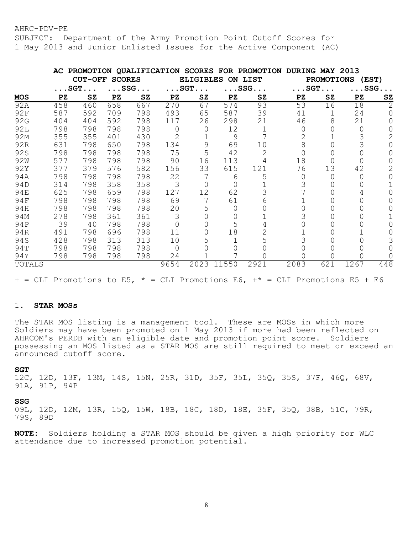SUBJECT: Department of the Army Promotion Point Cutoff Scores for 1 May 2013 and Junior Enlisted Issues for the Active Component (AC)

|                 |     |                       |               |                       |      |                       |       | AC PROMOTION QUALIFICATION SCORES FOR PROMOTION | DURING MAY 2013       |                            |                 |                       |
|-----------------|-----|-----------------------|---------------|-----------------------|------|-----------------------|-------|-------------------------------------------------|-----------------------|----------------------------|-----------------|-----------------------|
|                 |     | <b>CUT-OFF</b>        | <b>SCORES</b> |                       |      | <b>ELIGIBLES</b>      |       | ON LIST                                         |                       | <b>PROMOTIONS</b><br>(EST) |                 |                       |
|                 |     | $\ldots$ SGT $\ldots$ |               | $\ldots$ SSG $\ldots$ |      | $\ldots$ SGT $\ldots$ |       | $\ldots$ SSG $\ldots$                           | $\ldots$ SGT $\ldots$ |                            |                 | $\ldots$ SSG $\ldots$ |
| <b>MOS</b>      | PZ  | ${\tt SZ}$            | PZ            | SZ                    | PZ   | SZ                    | PZ    | ${\tt SZ}$                                      | PZ                    | SZ                         | $\overline{P}Z$ | S <sub>Z</sub>        |
| 92A             | 458 | 460                   | 658           | 667                   | 270  | 67                    | 574   | 93                                              | 53                    | 16                         | 18              | 2                     |
| 92F             | 587 | 592                   | 709           | 798                   | 493  | 65                    | 587   | 39                                              | 41                    |                            | 24              |                       |
| 92G             | 404 | 404                   | 592           | 798                   | 117  | 26                    | 298   | 21                                              | 46                    | 8                          | 21              |                       |
| <b>92L</b>      | 798 | 798                   | 798           | 798                   |      | 0                     | 12    |                                                 | O                     | 0                          | $\Omega$        |                       |
| 92M             | 355 | 355                   | 401           | 430                   | 2    |                       | 9     |                                                 |                       |                            |                 |                       |
| 92R             | 631 | 798                   | 650           | 798                   | 134  | 9                     | 69    | 10                                              | 8                     |                            |                 |                       |
| 92S             | 798 | 798                   | 798           | 798                   | 75   | 5                     | 42    | $\mathbf{2}$                                    |                       |                            |                 |                       |
| 92 <sub>W</sub> | 577 | 798                   | 798           | 798                   | 90   | 16                    | 113   |                                                 | 18                    |                            |                 |                       |
| 92Y             | 377 | 379                   | 576           | 582                   | 156  | 33                    | 615   | 121                                             | 76                    | 13                         | 42              |                       |
| 94A             | 798 | 798                   | 798           | 798                   | 22   |                       | 6     | 5                                               | 0                     | 0                          |                 |                       |
| 94D             | 314 | 798                   | 358           | 358                   | 3    | $\cup$                | 0     |                                                 |                       |                            |                 |                       |
| 94E             | 625 | 798                   | 659           | 798                   | 127  | 12                    | 62    |                                                 |                       |                            |                 |                       |
| 94F             | 798 | 798                   | 798           | 798                   | 69   |                       | 61    | 6                                               |                       |                            |                 |                       |
| 94H             | 798 | 798                   | 798           | 798                   | 20   | 5                     | 0     |                                                 |                       |                            |                 |                       |
| 94M             | 278 | 798                   | 361           | 361                   | 3    |                       | 0     |                                                 |                       | 0                          |                 |                       |
| 94P             | 39  | 40                    | 798           | 798                   |      |                       | 5     |                                                 |                       |                            |                 |                       |
| 94R             | 491 | 798                   | 696           | 798                   | 11   |                       | 18    |                                                 |                       | 0                          |                 |                       |
| 94S             | 428 | 798                   | 313           | 313                   | 10   |                       |       |                                                 |                       |                            |                 |                       |
| 94T             | 798 | 798                   | 798           | 798                   |      |                       |       |                                                 |                       | 0                          |                 |                       |
| 94Y             | 798 | 798                   | 798           | 798                   | 24   |                       |       |                                                 |                       | Ω                          |                 |                       |
| TOTALS          |     |                       |               |                       | 9654 | 2023                  | 11550 | 2921                                            | 2083                  | 621                        | 1267            | 448                   |

 $+$  = CLI Promotions to E5,  $*$  = CLI Promotions E6,  $+$  = CLI Promotions E5 + E6

### 1. **STAR MOSs**

The STAR MOS listing is a management tool. These are MOSs in which more Soldiers may have been promoted on 1 May 2013 if more had been reflected on AHRCOM's PERDB with an eligible date and promotion point score. Soldiers possessing an MOS listed as a STAR MOS are still required to meet or exceed an announced cutoff score.

### **SGT**

12C, 12D, 13F, 13M, 14S, 15N, 25R, 31D, 35F, 35L, 35Q, 35S, 37F, 46Q, 68V, 91A, 91P, 94P

#### **SSG**

09L, 12D, 12M, 13R, 15Q, 15W, 18B, 18C, 18D, 18E, 35F, 35Q, 38B, 51C, 79R, 79S, 89D

**NOTE:** Soldiers holding a STAR MOS should be given a high priority for WLC attendance due to increased promotion potential.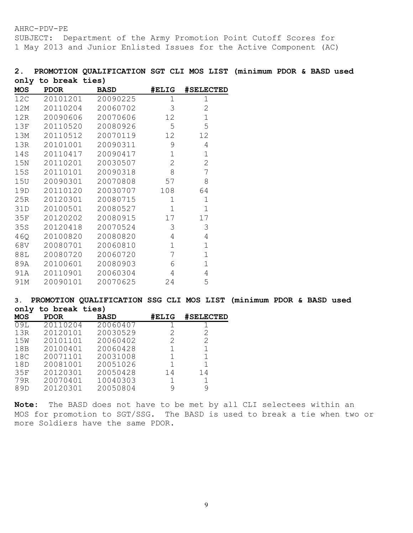SUBJECT: Department of the Army Promotion Point Cutoff Scores for 1 May 2013 and Junior Enlisted Issues for the Active Component (AC)

# **2. PROMOTION QUALIFICATION SGT CLI MOS LIST (minimum PDOR & BASD used only to break ties)**

| MOS | <b>PDOR</b> | <b>BASD</b> | #ELIG        | <b>#SELECTED</b> |
|-----|-------------|-------------|--------------|------------------|
| 12C | 20101201    | 20090225    | 1            | 1                |
| 12M | 20110204    | 20060702    | 3            | $\overline{2}$   |
| 12R | 20090606    | 20070606    | 12           | $\mathbf 1$      |
| 13F | 20110520    | 20080926    | 5            | 5                |
| 13M | 20110512    | 20070119    | 12           | 12               |
| 13R | 20101001    | 20090311    | 9            | 4                |
| 14S | 20110417    | 20090417    | $\mathbf 1$  | $\mathbf 1$      |
| 15N | 20110201    | 20030507    | $\mathbf{2}$ | 2                |
| 15S | 20110101    | 20090318    | 8            | 7                |
| 15U | 20090301    | 20070808    | 57           | 8                |
| 19D | 20110120    | 20030707    | 108          | 64               |
| 25R | 20120301    | 20080715    | 1            | $\mathbf 1$      |
| 31D | 20100501    | 20080527    | $\mathbf{1}$ | $\mathbf{1}$     |
| 35F | 20120202    | 20080915    | 17           | 17               |
| 35S | 20120418    | 20070524    | 3            | 3                |
| 46Q | 20100820    | 20080820    | 4            | 4                |
| 68V | 20080701    | 20060810    | $\mathbf 1$  | $\mathbf 1$      |
| 88L | 20080720    | 20060720    | 7            | $\mathbf{1}$     |
| 89A | 20100601    | 20080903    | 6            | $\mathbf{1}$     |
| 91A | 20110901    | 20060304    | 4            | 4                |
| 91M | 20090101    | 20070625    | 24           | 5                |

## **3. PROMOTION QUALIFICATION SSG CLI MOS LIST (minimum PDOR & BASD used only to break ties)**

| <b>MOS</b> | <b>PDOR</b> | <b>BASD</b> | #ELIG | #SELECTED |
|------------|-------------|-------------|-------|-----------|
| 09L        | 20110204    | 20060407    |       |           |
| 13R        | 20120101    | 20030529    | 2     | 2         |
| 15W        | 20101101    | 20060402    | 2     | 2         |
| 18B        | 20100401    | 20060428    |       |           |
| 18C        | 20071101    | 20031008    |       |           |
| 18D        | 20081001    | 20051026    |       |           |
| 35F        | 20120301    | 20050428    | 14    | 14        |
| 79R        | 20070401    | 10040303    |       |           |
| 89D        | 20120301    | 20050804    | 9     | 9         |

**Note:** The BASD does not have to be met by all CLI selectees within an MOS for promotion to SGT/SSG. The BASD is used to break a tie when two or more Soldiers have the same PDOR.